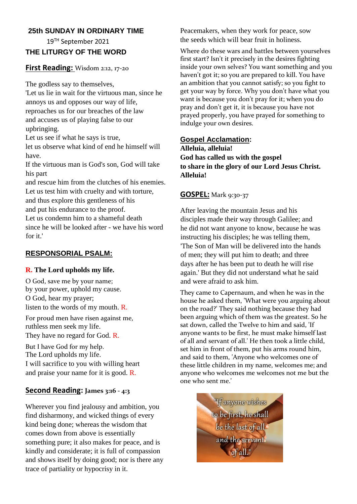#### **25th SUNDAY IN ORDINARY TIME**

19TH September 2021

## **THE LITURGY OF THE WORD**

#### **First Reading:** Wisdom 2:12, 17-20

The godless say to themselves,

'Let us lie in wait for the virtuous man, since he annoys us and opposes our way of life, reproaches us for our breaches of the law and accuses us of playing false to our upbringing.

Let us see if what he says is true,

let us observe what kind of end he himself will have.

If the virtuous man is God's son, God will take his part

and rescue him from the clutches of his enemies. Let us test him with cruelty and with torture, and thus explore this gentleness of his

and put his endurance to the proof.

Let us condemn him to a shameful death since he will be looked after - we have his word for it.'

### **RESPONSORIAL PSALM:**

#### **R. The Lord upholds my life.**

O God, save me by your name; by your power, uphold my cause. O God, hear my prayer; listen to the words of my mouth. R.

For proud men have risen against me, ruthless men seek my life. They have no regard for God. R.

But I have God for my help. The Lord upholds my life. I will sacrifice to you with willing heart and praise your name for it is good. R.

## **Second Reading: James 3:16 - 4:3**

Wherever you find jealousy and ambition, you find disharmony, and wicked things of every kind being done; whereas the wisdom that comes down from above is essentially something pure; it also makes for peace, and is kindly and considerate; it is full of compassion and shows itself by doing good; nor is there any trace of partiality or hypocrisy in it.

Peacemakers, when they work for peace, sow the seeds which will bear fruit in holiness.

Where do these wars and battles between yourselves first start? Isn't it precisely in the desires fighting inside your own selves? You want something and you haven't got it; so you are prepared to kill. You have an ambition that you cannot satisfy; so you fight to get your way by force. Why you don't have what you want is because you don't pray for it; when you do pray and don't get it, it is because you have not prayed properly, you have prayed for something to indulge your own desires.

#### **Gospel Acclamation:**

**Alleluia, alleluia! God has called us with the gospel to share in the glory of our Lord Jesus Christ. Alleluia!**

## **GOSPEL:** Mark 9:30-37

After leaving the mountain Jesus and his disciples made their way through Galilee; and he did not want anyone to know, because he was instructing his disciples; he was telling them, 'The Son of Man will be delivered into the hands of men; they will put him to death; and three days after he has been put to death he will rise again.' But they did not understand what he said and were afraid to ask him.

They came to Capernaum, and when he was in the house he asked them, 'What were you arguing about on the road?' They said nothing because they had been arguing which of them was the greatest. So he sat down, called the Twelve to him and said, 'If anyone wants to be first, he must make himself last of all and servant of all.' He then took a little child, set him in front of them, put his arms round him, and said to them, 'Anyone who welcomes one of these little children in my name, welcomes me; and anyone who welcomes me welcomes not me but the one who sent me.'